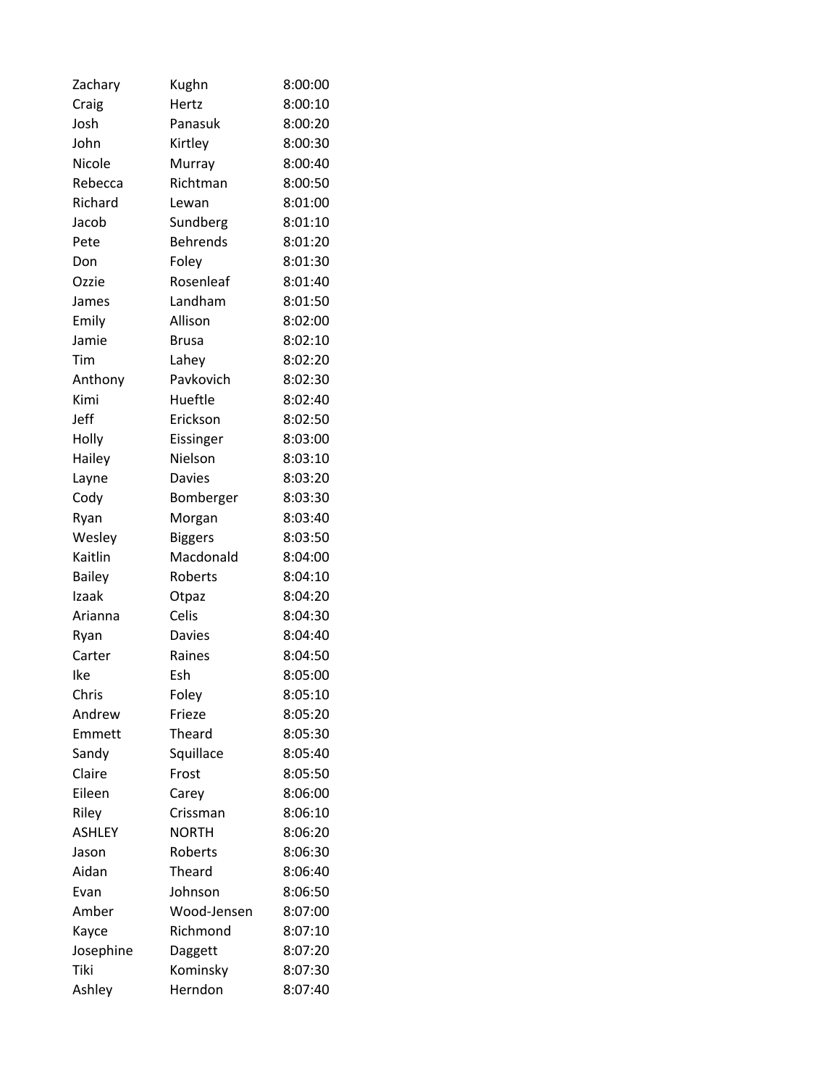| Zachary       | Kughn           | 8:00:00 |
|---------------|-----------------|---------|
| Craig         | Hertz           | 8:00:10 |
| Josh          | Panasuk         | 8:00:20 |
| John          | Kirtley         | 8:00:30 |
| Nicole        | Murray          | 8:00:40 |
| Rebecca       | Richtman        | 8:00:50 |
| Richard       | Lewan           | 8:01:00 |
| Jacob         | Sundberg        | 8:01:10 |
| Pete          | <b>Behrends</b> | 8:01:20 |
| Don           | Foley           | 8:01:30 |
| Ozzie         | Rosenleaf       | 8:01:40 |
| James         | Landham         | 8:01:50 |
| Emily         | Allison         | 8:02:00 |
| Jamie         | <b>Brusa</b>    | 8:02:10 |
| Tim           | Lahey           | 8:02:20 |
| Anthony       | Pavkovich       | 8:02:30 |
| Kimi          | Hueftle         | 8:02:40 |
| Jeff          | Erickson        | 8:02:50 |
| Holly         | Eissinger       | 8:03:00 |
| Hailey        | Nielson         | 8:03:10 |
| Layne         | <b>Davies</b>   | 8:03:20 |
| Cody          | Bomberger       | 8:03:30 |
| Ryan          | Morgan          | 8:03:40 |
| Wesley        | <b>Biggers</b>  | 8:03:50 |
| Kaitlin       | Macdonald       | 8:04:00 |
| <b>Bailey</b> | Roberts         | 8:04:10 |
| Izaak         | Otpaz           | 8:04:20 |
| Arianna       | Celis           | 8:04:30 |
| Ryan          | <b>Davies</b>   | 8:04:40 |
| Carter        | Raines          | 8:04:50 |
| Ike           | Esh             | 8:05:00 |
| Chris         | Foley           | 8:05:10 |
| Andrew        | Frieze          | 8:05:20 |
| Emmett        | Theard          | 8:05:30 |
| Sandy         | Squillace       | 8:05:40 |
| Claire        | Frost           | 8:05:50 |
| Eileen        | Carey           | 8:06:00 |
| Riley         | Crissman        | 8:06:10 |
| <b>ASHLEY</b> | <b>NORTH</b>    | 8:06:20 |
| Jason         | Roberts         | 8:06:30 |
| Aidan         | Theard          | 8:06:40 |
| Evan          | Johnson         | 8:06:50 |
| Amber         | Wood-Jensen     | 8:07:00 |
| Kayce         | Richmond        | 8:07:10 |
| Josephine     | Daggett         | 8:07:20 |
| Tiki          | Kominsky        | 8:07:30 |
| Ashley        | Herndon         | 8:07:40 |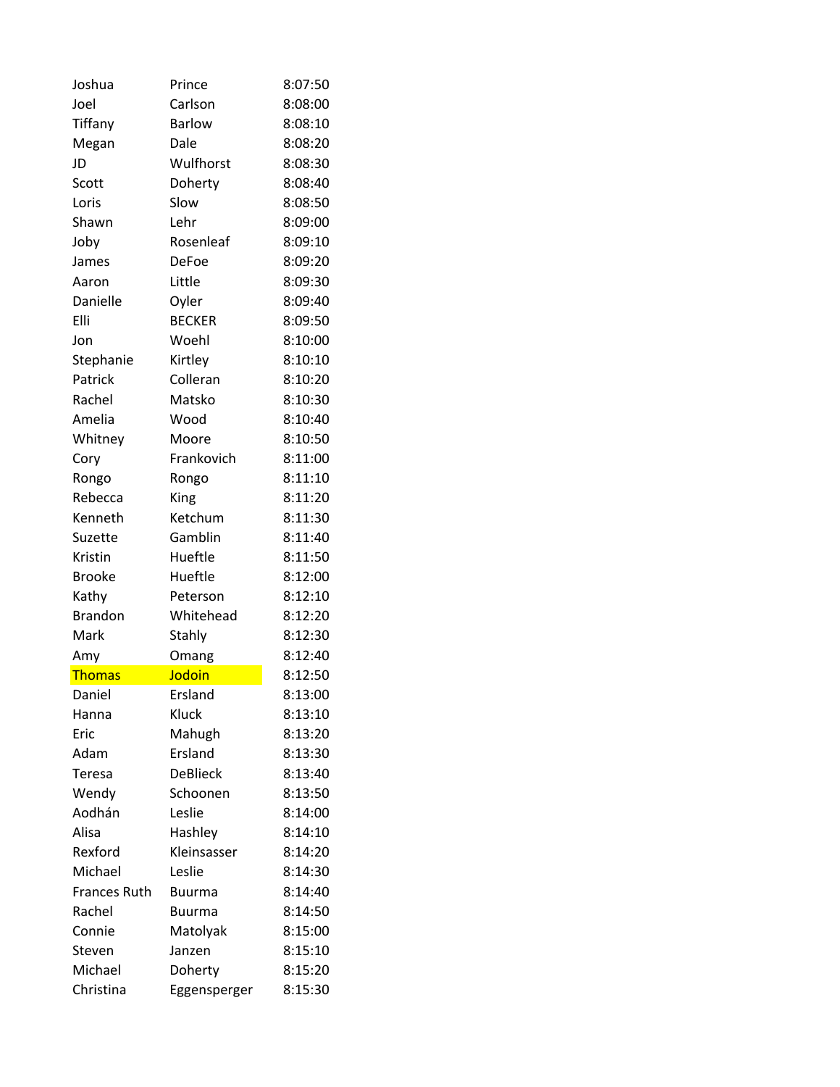| Joshua              | Prince          | 8:07:50 |
|---------------------|-----------------|---------|
| Joel                | Carlson         | 8:08:00 |
| Tiffany             | <b>Barlow</b>   | 8:08:10 |
| Megan               | Dale            | 8:08:20 |
| JD                  | Wulfhorst       | 8:08:30 |
| Scott               | Doherty         | 8:08:40 |
| Loris               | Slow            | 8:08:50 |
| Shawn               | Lehr            | 8:09:00 |
| Joby                | Rosenleaf       | 8:09:10 |
| James               | DeFoe           | 8:09:20 |
| Aaron               | Little          | 8:09:30 |
| Danielle            | Oyler           | 8:09:40 |
| Elli                | <b>BECKER</b>   | 8:09:50 |
| Jon                 | Woehl           | 8:10:00 |
| Stephanie           | Kirtley         | 8:10:10 |
| Patrick             | Colleran        | 8:10:20 |
| Rachel              | Matsko          | 8:10:30 |
| Amelia              | Wood            | 8:10:40 |
| Whitney             | Moore           | 8:10:50 |
| Cory                | Frankovich      | 8:11:00 |
| Rongo               | Rongo           | 8:11:10 |
| Rebecca             | King            | 8:11:20 |
| Kenneth             | Ketchum         | 8:11:30 |
| Suzette             | Gamblin         | 8:11:40 |
| Kristin             | Hueftle         | 8:11:50 |
| <b>Brooke</b>       | Hueftle         | 8:12:00 |
| Kathy               | Peterson        | 8:12:10 |
| <b>Brandon</b>      | Whitehead       | 8:12:20 |
| Mark                | Stahly          | 8:12:30 |
| Amy                 | Omang           | 8:12:40 |
| <b>Thomas</b>       | Jodoin          | 8:12:50 |
| Daniel              | Ersland         | 8:13:00 |
| Hanna               | Kluck           | 8:13:10 |
| Eric                | Mahugh          | 8:13:20 |
| Adam                | Ersland         | 8:13:30 |
| Teresa              | <b>DeBlieck</b> | 8:13:40 |
| Wendy               | Schoonen        | 8:13:50 |
| Aodhán              | Leslie          | 8:14:00 |
| Alisa               | Hashley         | 8:14:10 |
| Rexford             | Kleinsasser     | 8:14:20 |
| Michael             | Leslie          | 8:14:30 |
| <b>Frances Ruth</b> | <b>Buurma</b>   | 8:14:40 |
| Rachel              | <b>Buurma</b>   | 8:14:50 |
| Connie              | Matolyak        | 8:15:00 |
| Steven              | Janzen          | 8:15:10 |
| Michael             | Doherty         | 8:15:20 |
| Christina           | Eggensperger    | 8:15:30 |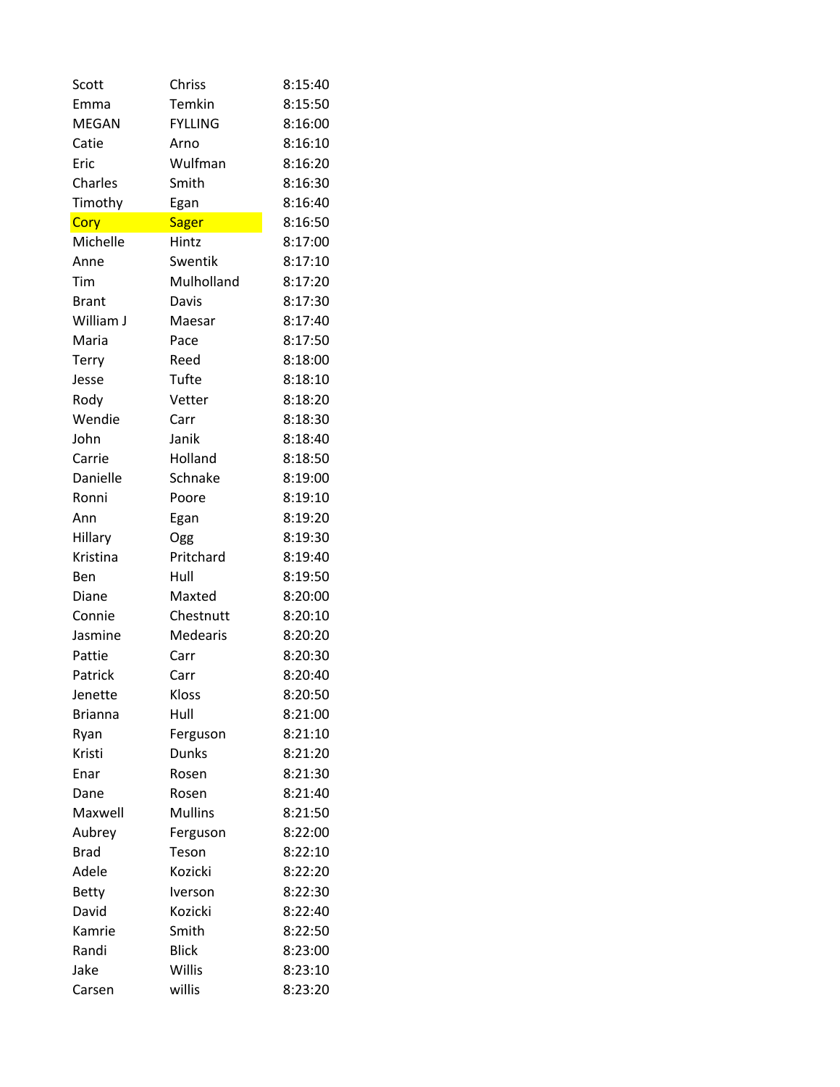| Scott          | Chriss         | 8:15:40 |
|----------------|----------------|---------|
| Emma           | Temkin         | 8:15:50 |
| <b>MEGAN</b>   | <b>FYLLING</b> | 8:16:00 |
| Catie          | Arno           | 8:16:10 |
| Eric           | Wulfman        | 8:16:20 |
| Charles        | Smith          | 8:16:30 |
| Timothy        | Egan           | 8:16:40 |
| Cory           | Sager          | 8:16:50 |
| Michelle       | Hintz          | 8:17:00 |
| Anne           | Swentik        | 8:17:10 |
| Tim            | Mulholland     | 8:17:20 |
| <b>Brant</b>   | Davis          | 8:17:30 |
| William J      | Maesar         | 8:17:40 |
| Maria          | Pace           | 8:17:50 |
| Terry          | Reed           | 8:18:00 |
| Jesse          | Tufte          | 8:18:10 |
| Rody           | Vetter         | 8:18:20 |
| Wendie         | Carr           | 8:18:30 |
| John           | Janik          | 8:18:40 |
| Carrie         | Holland        | 8:18:50 |
| Danielle       | Schnake        | 8:19:00 |
| Ronni          | Poore          | 8:19:10 |
| Ann            | Egan           | 8:19:20 |
| Hillary        | Ogg            | 8:19:30 |
| Kristina       | Pritchard      | 8:19:40 |
| Ben            | Hull           | 8:19:50 |
| Diane          | Maxted         | 8:20:00 |
| Connie         | Chestnutt      | 8:20:10 |
| Jasmine        | Medearis       | 8:20:20 |
| Pattie         | Carr           | 8:20:30 |
| Patrick        | Carr           | 8:20:40 |
| Jenette        | Kloss          | 8:20:50 |
| <b>Brianna</b> | Hull           | 8:21:00 |
| Ryan           | Ferguson       | 8:21:10 |
| Kristi         | Dunks          | 8:21:20 |
| Enar           | Rosen          | 8:21:30 |
| Dane           | Rosen          | 8:21:40 |
| Maxwell        | <b>Mullins</b> | 8:21:50 |
| Aubrey         | Ferguson       | 8:22:00 |
| <b>Brad</b>    | Teson          | 8:22:10 |
| Adele          | Kozicki        | 8:22:20 |
| <b>Betty</b>   | Iverson        | 8:22:30 |
| David          | Kozicki        | 8:22:40 |
| Kamrie         | Smith          | 8:22:50 |
| Randi          | <b>Blick</b>   | 8:23:00 |
| Jake           | Willis         | 8:23:10 |
| Carsen         | willis         | 8:23:20 |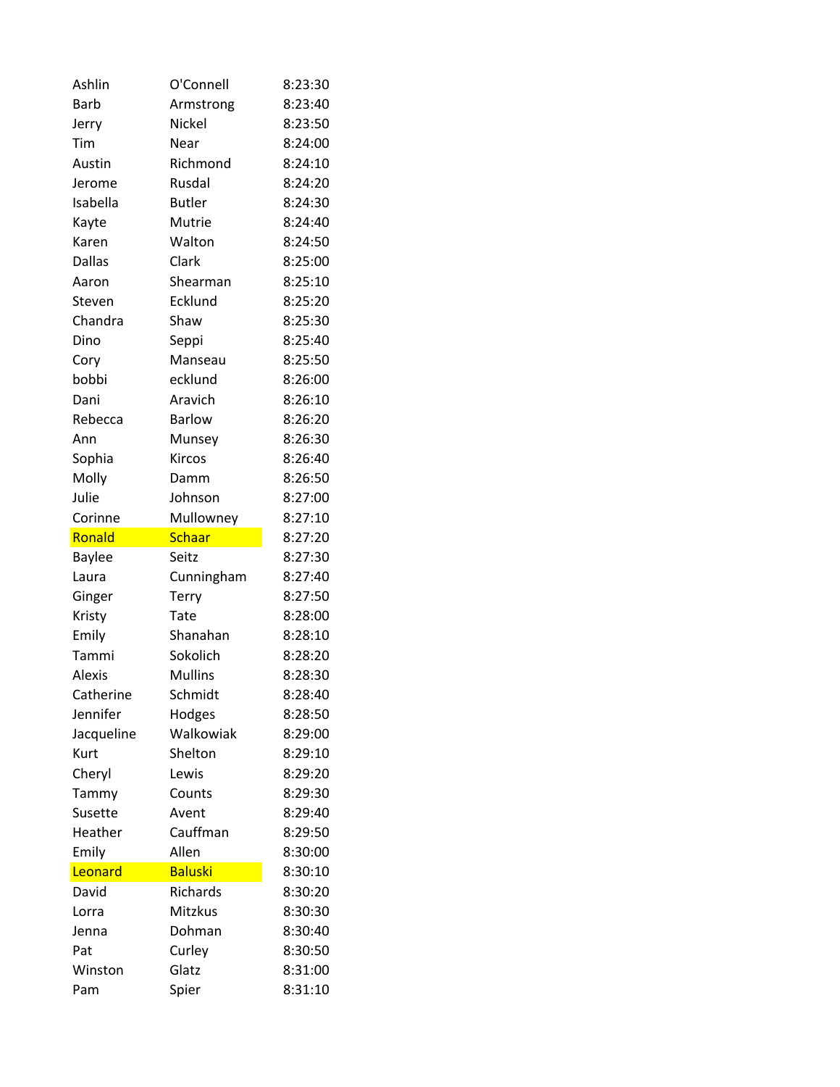| Ashlin         | O'Connell      | 8:23:30            |
|----------------|----------------|--------------------|
| <b>Barb</b>    | Armstrong      | 8:23:40            |
| Jerry          | Nickel         | 8:23:50            |
| Tim            | Near           | 8:24:00            |
| Austin         | Richmond       | 8:24:10            |
| Jerome         | Rusdal         | 8:24:20            |
| Isabella       | <b>Butler</b>  | 8:24:30            |
| Kayte          | Mutrie         | 8:24:40            |
| Karen          | Walton         | 8:24:50            |
| <b>Dallas</b>  | Clark          | 8:25:00            |
| Aaron          | Shearman       | 8:25:10            |
| Steven         | Ecklund        | 8:25:20            |
| Chandra        | Shaw           | 8:25:30            |
| Dino           | Seppi          | 8:25:40            |
| Cory           | Manseau        | 8:25:50            |
| bobbi          | ecklund        | 8:26:00            |
| Dani           | Aravich        | 8:26:10            |
| Rebecca        | <b>Barlow</b>  | 8:26:20            |
| Ann            | Munsey         | 8:26:30            |
| Sophia         | Kircos         | 8:26:40            |
| Molly          | Damm           | 8:26:50            |
| Julie          | Johnson        | 8:27:00            |
| Corinne        | Mullowney      | 8:27:10            |
| Ronald         | <b>Schaar</b>  | 8:27:20            |
|                |                |                    |
| <b>Baylee</b>  | Seitz          | 8:27:30            |
| Laura          | Cunningham     | 8:27:40            |
| Ginger         | <b>Terry</b>   | 8:27:50            |
| Kristy         | Tate           | 8:28:00            |
| Emily          | Shanahan       | 8:28:10            |
| Tammi          | Sokolich       | 8:28:20            |
| <b>Alexis</b>  | <b>Mullins</b> | 8:28:30            |
| Catherine      | Schmidt        | 8:28:40            |
| Jennifer       | Hodges         | 8:28:50            |
| Jacqueline     | Walkowiak      | 8:29:00            |
| Kurt           | Shelton        | 8:29:10            |
| Cheryl         | Lewis          | 8:29:20            |
| Tammy          | Counts         | 8:29:30            |
| Susette        | Avent          | 8:29:40            |
| Heather        | Cauffman       | 8:29:50            |
| Emily          | Allen          | 8:30:00            |
| Leonard        | <b>Baluski</b> | 8:30:10            |
| David          | Richards       | 8:30:20            |
| Lorra          | Mitzkus        | 8:30:30            |
| Jenna          | Dohman         | 8:30:40            |
| Pat            | Curley         | 8:30:50            |
| Winston<br>Pam | Glatz<br>Spier | 8:31:00<br>8:31:10 |